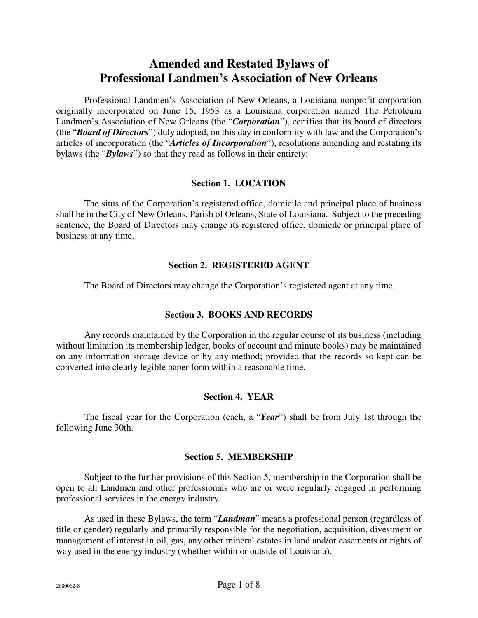# **Amended and Restated Bylaws of Professional Landmen's Association of New Orleans**

Professional Landmen's Association of New Orleans, a Louisiana nonprofit corporation originally incorporated on June 15, 1953 as a Louisiana corporation named The Petroleum Landmen's Association of New Orleans (the "*Corporation*"), certifies that its board of directors (the "*Board of Directors*") duly adopted, on this day in conformity with law and the Corporation's articles of incorporation (the "*Articles of Incorporation*"), resolutions amending and restating its bylaws (the "*Bylaws*") so that they read as follows in their entirety:

#### **Section 1. LOCATION**

The situs of the Corporation's registered office, domicile and principal place of business shall be in the City of New Orleans, Parish of Orleans, State of Louisiana. Subject to the preceding sentence, the Board of Directors may change its registered office, domicile or principal place of business at any time.

## **Section 2. REGISTERED AGENT**

The Board of Directors may change the Corporation's registered agent at any time.

#### **Section 3. BOOKS AND RECORDS**

Any records maintained by the Corporation in the regular course of its business (including without limitation its membership ledger, books of account and minute books) may be maintained on any information storage device or by any method; provided that the records so kept can be converted into clearly legible paper form within a reasonable time.

# **Section 4. YEAR**

The fiscal year for the Corporation (each, a "*Year*") shall be from July 1st through the following June 30th.

#### **Section 5. MEMBERSHIP**

Subject to the further provisions of this Section 5, membership in the Corporation shall be open to all Landmen and other professionals who are or were regularly engaged in performing professional services in the energy industry.

As used in these Bylaws, the term "*Landman*" means a professional person (regardless of title or gender) regularly and primarily responsible for the negotiation, acquisition, divestment or management of interest in oil, gas, any other mineral estates in land and/or easements or rights of way used in the energy industry (whether within or outside of Louisiana).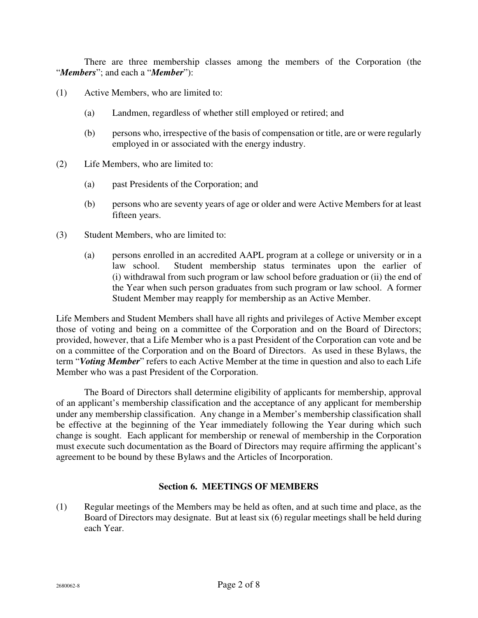There are three membership classes among the members of the Corporation (the "*Members*"; and each a "*Member*"):

- (1) Active Members, who are limited to:
	- (a) Landmen, regardless of whether still employed or retired; and
	- (b) persons who, irrespective of the basis of compensation or title, are or were regularly employed in or associated with the energy industry.
- (2) Life Members, who are limited to:
	- (a) past Presidents of the Corporation; and
	- (b) persons who are seventy years of age or older and were Active Members for at least fifteen years.
- (3) Student Members, who are limited to:
	- (a) persons enrolled in an accredited AAPL program at a college or university or in a law school. Student membership status terminates upon the earlier of (i) withdrawal from such program or law school before graduation or (ii) the end of the Year when such person graduates from such program or law school. A former Student Member may reapply for membership as an Active Member.

Life Members and Student Members shall have all rights and privileges of Active Member except those of voting and being on a committee of the Corporation and on the Board of Directors; provided, however, that a Life Member who is a past President of the Corporation can vote and be on a committee of the Corporation and on the Board of Directors. As used in these Bylaws, the term "*Voting Member*" refers to each Active Member at the time in question and also to each Life Member who was a past President of the Corporation.

The Board of Directors shall determine eligibility of applicants for membership, approval of an applicant's membership classification and the acceptance of any applicant for membership under any membership classification. Any change in a Member's membership classification shall be effective at the beginning of the Year immediately following the Year during which such change is sought. Each applicant for membership or renewal of membership in the Corporation must execute such documentation as the Board of Directors may require affirming the applicant's agreement to be bound by these Bylaws and the Articles of Incorporation.

#### **Section 6. MEETINGS OF MEMBERS**

(1) Regular meetings of the Members may be held as often, and at such time and place, as the Board of Directors may designate. But at least six (6) regular meetings shall be held during each Year.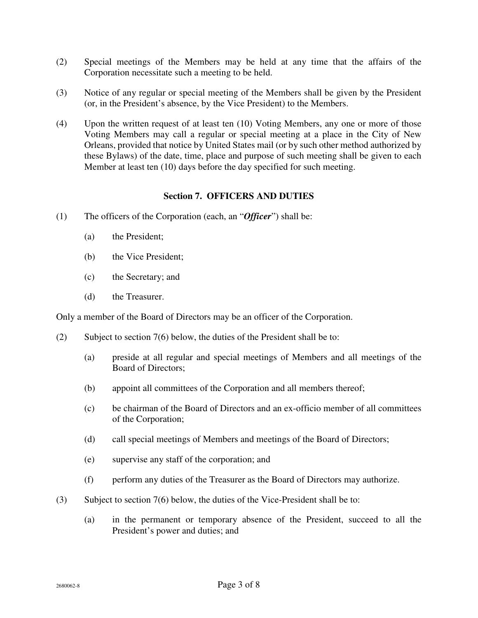- (2) Special meetings of the Members may be held at any time that the affairs of the Corporation necessitate such a meeting to be held.
- (3) Notice of any regular or special meeting of the Members shall be given by the President (or, in the President's absence, by the Vice President) to the Members.
- (4) Upon the written request of at least ten (10) Voting Members, any one or more of those Voting Members may call a regular or special meeting at a place in the City of New Orleans, provided that notice by United States mail (or by such other method authorized by these Bylaws) of the date, time, place and purpose of such meeting shall be given to each Member at least ten (10) days before the day specified for such meeting.

#### **Section 7. OFFICERS AND DUTIES**

- (1) The officers of the Corporation (each, an "*Officer*") shall be:
	- (a) the President;
	- (b) the Vice President;
	- (c) the Secretary; and
	- (d) the Treasurer.

Only a member of the Board of Directors may be an officer of the Corporation.

- (2) Subject to section 7(6) below, the duties of the President shall be to:
	- (a) preside at all regular and special meetings of Members and all meetings of the Board of Directors;
	- (b) appoint all committees of the Corporation and all members thereof;
	- (c) be chairman of the Board of Directors and an ex-officio member of all committees of the Corporation;
	- (d) call special meetings of Members and meetings of the Board of Directors;
	- (e) supervise any staff of the corporation; and
	- (f) perform any duties of the Treasurer as the Board of Directors may authorize.
- (3) Subject to section 7(6) below, the duties of the Vice-President shall be to:
	- (a) in the permanent or temporary absence of the President, succeed to all the President's power and duties; and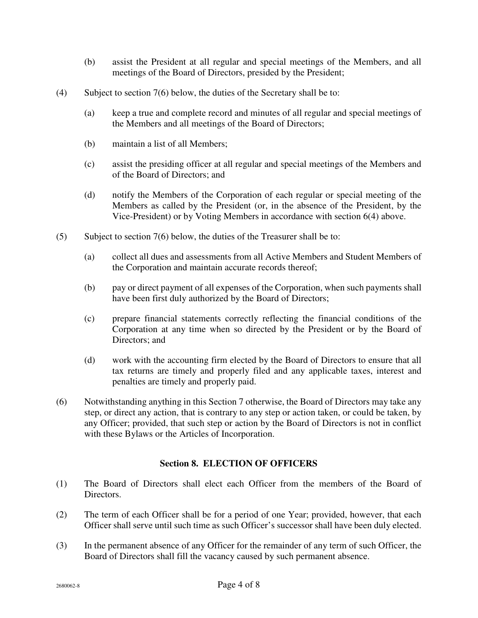- (b) assist the President at all regular and special meetings of the Members, and all meetings of the Board of Directors, presided by the President;
- (4) Subject to section 7(6) below, the duties of the Secretary shall be to:
	- (a) keep a true and complete record and minutes of all regular and special meetings of the Members and all meetings of the Board of Directors;
	- (b) maintain a list of all Members;
	- (c) assist the presiding officer at all regular and special meetings of the Members and of the Board of Directors; and
	- (d) notify the Members of the Corporation of each regular or special meeting of the Members as called by the President (or, in the absence of the President, by the Vice-President) or by Voting Members in accordance with section 6(4) above.
- (5) Subject to section 7(6) below, the duties of the Treasurer shall be to:
	- (a) collect all dues and assessments from all Active Members and Student Members of the Corporation and maintain accurate records thereof;
	- (b) pay or direct payment of all expenses of the Corporation, when such payments shall have been first duly authorized by the Board of Directors;
	- (c) prepare financial statements correctly reflecting the financial conditions of the Corporation at any time when so directed by the President or by the Board of Directors; and
	- (d) work with the accounting firm elected by the Board of Directors to ensure that all tax returns are timely and properly filed and any applicable taxes, interest and penalties are timely and properly paid.
- (6) Notwithstanding anything in this Section 7 otherwise, the Board of Directors may take any step, or direct any action, that is contrary to any step or action taken, or could be taken, by any Officer; provided, that such step or action by the Board of Directors is not in conflict with these Bylaws or the Articles of Incorporation.

# **Section 8. ELECTION OF OFFICERS**

- (1) The Board of Directors shall elect each Officer from the members of the Board of Directors.
- (2) The term of each Officer shall be for a period of one Year; provided, however, that each Officer shall serve until such time as such Officer's successor shall have been duly elected.
- (3) In the permanent absence of any Officer for the remainder of any term of such Officer, the Board of Directors shall fill the vacancy caused by such permanent absence.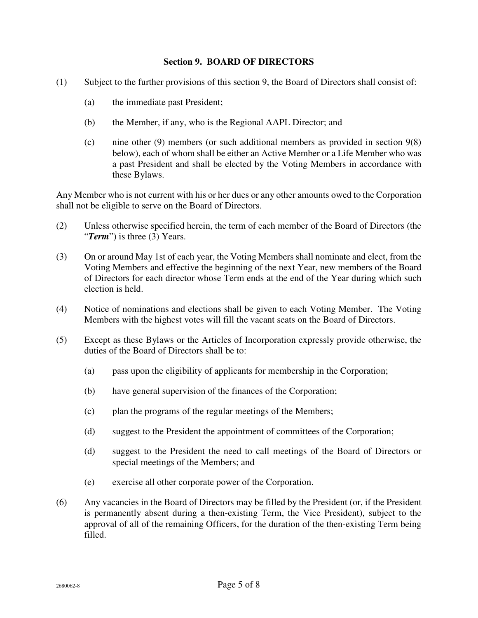#### **Section 9. BOARD OF DIRECTORS**

- (1) Subject to the further provisions of this section 9, the Board of Directors shall consist of:
	- (a) the immediate past President;
	- (b) the Member, if any, who is the Regional AAPL Director; and
	- (c) nine other (9) members (or such additional members as provided in section 9(8) below), each of whom shall be either an Active Member or a Life Member who was a past President and shall be elected by the Voting Members in accordance with these Bylaws.

Any Member who is not current with his or her dues or any other amounts owed to the Corporation shall not be eligible to serve on the Board of Directors.

- (2) Unless otherwise specified herein, the term of each member of the Board of Directors (the "*Term*") is three (3) Years.
- (3) On or around May 1st of each year, the Voting Members shall nominate and elect, from the Voting Members and effective the beginning of the next Year, new members of the Board of Directors for each director whose Term ends at the end of the Year during which such election is held.
- (4) Notice of nominations and elections shall be given to each Voting Member. The Voting Members with the highest votes will fill the vacant seats on the Board of Directors.
- (5) Except as these Bylaws or the Articles of Incorporation expressly provide otherwise, the duties of the Board of Directors shall be to:
	- (a) pass upon the eligibility of applicants for membership in the Corporation;
	- (b) have general supervision of the finances of the Corporation;
	- (c) plan the programs of the regular meetings of the Members;
	- (d) suggest to the President the appointment of committees of the Corporation;
	- (d) suggest to the President the need to call meetings of the Board of Directors or special meetings of the Members; and
	- (e) exercise all other corporate power of the Corporation.
- (6) Any vacancies in the Board of Directors may be filled by the President (or, if the President is permanently absent during a then-existing Term, the Vice President), subject to the approval of all of the remaining Officers, for the duration of the then-existing Term being filled.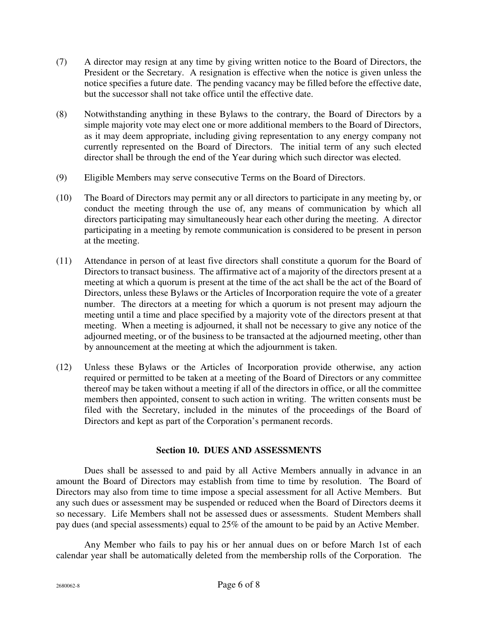- (7) A director may resign at any time by giving written notice to the Board of Directors, the President or the Secretary. A resignation is effective when the notice is given unless the notice specifies a future date. The pending vacancy may be filled before the effective date, but the successor shall not take office until the effective date.
- (8) Notwithstanding anything in these Bylaws to the contrary, the Board of Directors by a simple majority vote may elect one or more additional members to the Board of Directors, as it may deem appropriate, including giving representation to any energy company not currently represented on the Board of Directors. The initial term of any such elected director shall be through the end of the Year during which such director was elected.
- (9) Eligible Members may serve consecutive Terms on the Board of Directors.
- (10) The Board of Directors may permit any or all directors to participate in any meeting by, or conduct the meeting through the use of, any means of communication by which all directors participating may simultaneously hear each other during the meeting. A director participating in a meeting by remote communication is considered to be present in person at the meeting.
- (11) Attendance in person of at least five directors shall constitute a quorum for the Board of Directors to transact business. The affirmative act of a majority of the directors present at a meeting at which a quorum is present at the time of the act shall be the act of the Board of Directors, unless these Bylaws or the Articles of Incorporation require the vote of a greater number. The directors at a meeting for which a quorum is not present may adjourn the meeting until a time and place specified by a majority vote of the directors present at that meeting. When a meeting is adjourned, it shall not be necessary to give any notice of the adjourned meeting, or of the business to be transacted at the adjourned meeting, other than by announcement at the meeting at which the adjournment is taken.
- (12) Unless these Bylaws or the Articles of Incorporation provide otherwise, any action required or permitted to be taken at a meeting of the Board of Directors or any committee thereof may be taken without a meeting if all of the directors in office, or all the committee members then appointed, consent to such action in writing. The written consents must be filed with the Secretary, included in the minutes of the proceedings of the Board of Directors and kept as part of the Corporation's permanent records.

# **Section 10. DUES AND ASSESSMENTS**

Dues shall be assessed to and paid by all Active Members annually in advance in an amount the Board of Directors may establish from time to time by resolution. The Board of Directors may also from time to time impose a special assessment for all Active Members. But any such dues or assessment may be suspended or reduced when the Board of Directors deems it so necessary. Life Members shall not be assessed dues or assessments. Student Members shall pay dues (and special assessments) equal to 25% of the amount to be paid by an Active Member.

Any Member who fails to pay his or her annual dues on or before March 1st of each calendar year shall be automatically deleted from the membership rolls of the Corporation. The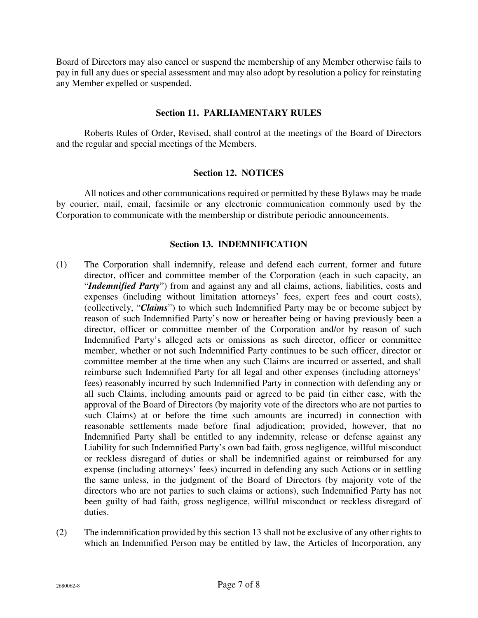Board of Directors may also cancel or suspend the membership of any Member otherwise fails to pay in full any dues or special assessment and may also adopt by resolution a policy for reinstating any Member expelled or suspended.

## **Section 11. PARLIAMENTARY RULES**

Roberts Rules of Order, Revised, shall control at the meetings of the Board of Directors and the regular and special meetings of the Members.

#### **Section 12. NOTICES**

All notices and other communications required or permitted by these Bylaws may be made by courier, mail, email, facsimile or any electronic communication commonly used by the Corporation to communicate with the membership or distribute periodic announcements.

## **Section 13. INDEMNIFICATION**

- (1) The Corporation shall indemnify, release and defend each current, former and future director, officer and committee member of the Corporation (each in such capacity, an "*Indemnified Party*") from and against any and all claims, actions, liabilities, costs and expenses (including without limitation attorneys' fees, expert fees and court costs), (collectively, "*Claims*") to which such Indemnified Party may be or become subject by reason of such Indemnified Party's now or hereafter being or having previously been a director, officer or committee member of the Corporation and/or by reason of such Indemnified Party's alleged acts or omissions as such director, officer or committee member, whether or not such Indemnified Party continues to be such officer, director or committee member at the time when any such Claims are incurred or asserted, and shall reimburse such Indemnified Party for all legal and other expenses (including attorneys' fees) reasonably incurred by such Indemnified Party in connection with defending any or all such Claims, including amounts paid or agreed to be paid (in either case, with the approval of the Board of Directors (by majority vote of the directors who are not parties to such Claims) at or before the time such amounts are incurred) in connection with reasonable settlements made before final adjudication; provided, however, that no Indemnified Party shall be entitled to any indemnity, release or defense against any Liability for such Indemnified Party's own bad faith, gross negligence, willful misconduct or reckless disregard of duties or shall be indemnified against or reimbursed for any expense (including attorneys' fees) incurred in defending any such Actions or in settling the same unless, in the judgment of the Board of Directors (by majority vote of the directors who are not parties to such claims or actions), such Indemnified Party has not been guilty of bad faith, gross negligence, willful misconduct or reckless disregard of duties.
- (2) The indemnification provided by this section 13 shall not be exclusive of any other rights to which an Indemnified Person may be entitled by law, the Articles of Incorporation, any